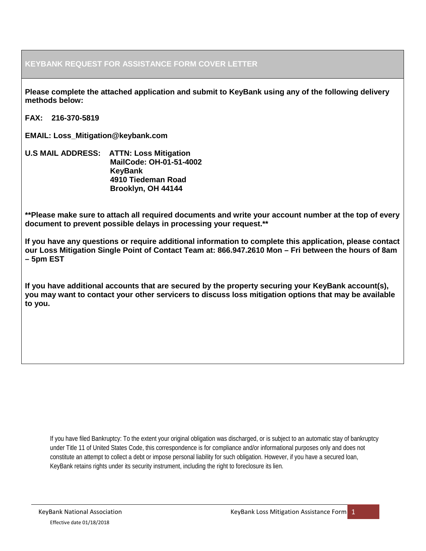## **KEYBANK REQUEST FOR ASSISTANCE FORM COVER LETTER**

**Please complete the attached application and submit to KeyBank using any of the following delivery methods below:**

**FAX: 216-370-5819**

**EMAIL: Loss\_Mitigation@keybank.com**

**U.S MAIL ADDRESS: ATTN: Loss Mitigation MailCode: OH-01-51-4002 KeyBank 4910 Tiedeman Road Brooklyn, OH 44144**

**\*\*Please make sure to attach all required documents and write your account number at the top of every document to prevent possible delays in processing your request.\*\***

**If you have any questions or require additional information to complete this application, please contact our Loss Mitigation Single Point of Contact Team at: 866.947.2610 Mon – Fri between the hours of 8am – 5pm EST**

**If you have additional accounts that are secured by the property securing your KeyBank account(s), you may want to contact your other servicers to discuss loss mitigation options that may be available to you.**

If you have filed Bankruptcy: To the extent your original obligation was discharged, or is subject to an automatic stay of bankruptcy under Title 11 of United States Code, this correspondence is for compliance and/or informational purposes only and does not constitute an attempt to collect a debt or impose personal liability for such obligation. However, if you have a secured loan, KeyBank retains rights under its security instrument, including the right to foreclosure its lien.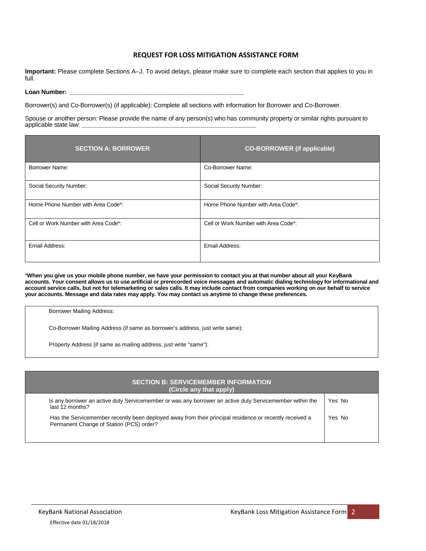### **REQUEST FOR LOSS MITIGATION ASSISTANCE FORM**

**Important:** Please complete Sections A–J. To avoid delays, please make sure to complete each section that applies to you in full.

Loan Number:

Borrower(s) and Co-Borrower(s) (if applicable): Complete all sections with information for Borrower and Co-Borrower.

Spouse or another person: Please provide the name of any person(s) who has community property or similar rights pursuant to applicable state law: **\_\_\_\_\_\_\_\_\_\_\_\_\_\_\_\_\_\_\_\_\_\_\_\_\_\_\_\_\_\_\_\_\_\_\_\_\_\_\_\_\_\_\_\_\_\_\_\_\_\_\_**

| <b>SECTION A: BORROWER</b>           | <b>CO-BORROWER</b> (if applicable)   |
|--------------------------------------|--------------------------------------|
| Borrower Name:                       | Co-Borrower Name:                    |
| Social Security Number:              | Social Security Number:              |
| Home Phone Number with Area Code*:   | Home Phone Number with Area Code*:   |
| Cell or Work Number with Area Code*: | Cell or Work Number with Area Code*: |
| Email Address:                       | Email Address:                       |

\***When you give us your mobile phone number, we have your permission to contact you at that number about all your KeyBank accounts. Your consent allows us to use artificial or prerecorded voice messages and automatic dialing technology for informational and account service calls, but not for telemarketing or sales calls. It may include contact from companies working on our behalf to service your accounts. Message and data rates may apply. You may contact us anytime to change these preferences.**

| <b>Borrower Mailing Address:</b>                                              |
|-------------------------------------------------------------------------------|
| Co-Borrower Mailing Address (if same as borrower's address, just write same): |
| Property Address (if same as mailing address, just write "same"):             |
|                                                                               |
|                                                                               |

| <b>SECTION B: SERVICEMEMBER INFORMATION</b><br>(Circle any that apply)                                                                              |        |
|-----------------------------------------------------------------------------------------------------------------------------------------------------|--------|
| Is any borrower an active duty Servicemember or was any borrower an active duty Servicemember within the<br>last 12 months?                         | Yes No |
| Has the Servicemember recently been deployed away from their principal residence or recently received a<br>Permanent Change of Station (PCS) order? | Yes No |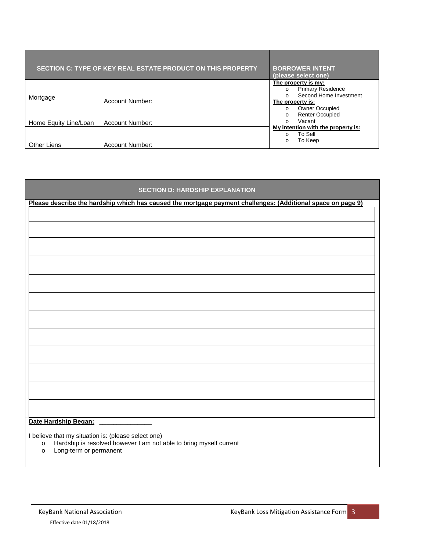|                       | SECTION C: TYPE OF KEY REAL ESTATE PRODUCT ON THIS PROPERTY | <b>BORROWER INTENT</b><br>(please select one)                                                                                                                                                 |
|-----------------------|-------------------------------------------------------------|-----------------------------------------------------------------------------------------------------------------------------------------------------------------------------------------------|
| Mortgage              | Account Number:                                             | The property is my:<br><b>Primary Residence</b><br>$\circ$<br>Second Home Investment<br>$\Omega$<br>The property is:<br><b>Owner Occupied</b><br>$\circ$<br><b>Renter Occupied</b><br>$\circ$ |
| Home Equity Line/Loan | Account Number:                                             | Vacant<br>$\Omega$<br>My intention with the property is:                                                                                                                                      |
| <b>Other Liens</b>    | Account Number:                                             | To Sell<br>$\Omega$<br>To Keep<br>$\circ$                                                                                                                                                     |

| <b>SECTION D: HARDSHIP EXPLANATION</b>                                                                             |
|--------------------------------------------------------------------------------------------------------------------|
| Please describe the hardship which has caused the mortgage payment challenges: (Additional space on page 9)        |
|                                                                                                                    |
|                                                                                                                    |
|                                                                                                                    |
|                                                                                                                    |
|                                                                                                                    |
|                                                                                                                    |
|                                                                                                                    |
|                                                                                                                    |
|                                                                                                                    |
|                                                                                                                    |
|                                                                                                                    |
|                                                                                                                    |
|                                                                                                                    |
|                                                                                                                    |
|                                                                                                                    |
|                                                                                                                    |
|                                                                                                                    |
|                                                                                                                    |
|                                                                                                                    |
|                                                                                                                    |
| Date Hardship Began:                                                                                               |
| I believe that my situation is: (please select one)                                                                |
| Hardship is resolved however I am not able to bring myself current<br>$\circ$<br>Long-term or permanent<br>$\circ$ |
|                                                                                                                    |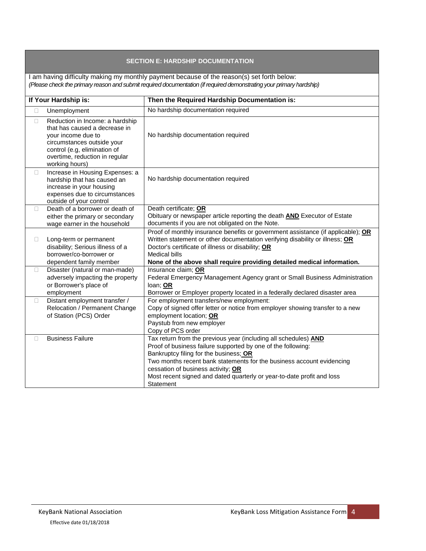## **SECTION E: HARDSHIP DOCUMENTATION**

I am having difficulty making my monthly payment because of the reason(s) set forth below: *(Please check the primary reason and submit required documentation (if required demonstrating your primary hardship)*

| If Your Hardship is:<br>Then the Required Hardship Documentation is: |                                                                                                                                                                                                          |                                                                                                                                                                                                                                                                                                                                                                                 |
|----------------------------------------------------------------------|----------------------------------------------------------------------------------------------------------------------------------------------------------------------------------------------------------|---------------------------------------------------------------------------------------------------------------------------------------------------------------------------------------------------------------------------------------------------------------------------------------------------------------------------------------------------------------------------------|
| П.                                                                   | Unemployment                                                                                                                                                                                             | No hardship documentation required                                                                                                                                                                                                                                                                                                                                              |
| $\Box$                                                               | Reduction in Income: a hardship<br>that has caused a decrease in<br>your income due to<br>circumstances outside your<br>control (e.g, elimination of<br>overtime, reduction in regular<br>working hours) | No hardship documentation required                                                                                                                                                                                                                                                                                                                                              |
| $\Box$                                                               | Increase in Housing Expenses: a<br>hardship that has caused an<br>increase in your housing<br>expenses due to circumstances<br>outside of your control                                                   | No hardship documentation required                                                                                                                                                                                                                                                                                                                                              |
| П                                                                    | Death of a borrower or death of<br>either the primary or secondary<br>wage earner in the household                                                                                                       | Death certificate; OR<br>Obituary or newspaper article reporting the death <b>AND</b> Executor of Estate<br>documents if you are not obligated on the Note.                                                                                                                                                                                                                     |
| $\Box$                                                               | Long-term or permanent<br>disability; Serious illness of a<br>borrower/co-borrower or<br>dependent family member                                                                                         | Proof of monthly insurance benefits or government assistance (if applicable); OR<br>Written statement or other documentation verifying disability or illness; OR<br>Doctor's certificate of illness or disability; OR<br><b>Medical bills</b><br>None of the above shall require providing detailed medical information.                                                        |
| $\Box$                                                               | Disaster (natural or man-made)<br>adversely impacting the property<br>or Borrower's place of<br>employment                                                                                               | Insurance claim; OR<br>Federal Emergency Management Agency grant or Small Business Administration<br>loan; OR<br>Borrower or Employer property located in a federally declared disaster area                                                                                                                                                                                    |
| $\Box$                                                               | Distant employment transfer /<br>Relocation / Permanent Change<br>of Station (PCS) Order                                                                                                                 | For employment transfers/new employment:<br>Copy of signed offer letter or notice from employer showing transfer to a new<br>employment location; OR<br>Paystub from new employer<br>Copy of PCS order                                                                                                                                                                          |
| П                                                                    | <b>Business Failure</b>                                                                                                                                                                                  | Tax return from the previous year (including all schedules) AND<br>Proof of business failure supported by one of the following:<br>Bankruptcy filing for the business; OR<br>Two months recent bank statements for the business account evidencing<br>cessation of business activity; OR<br>Most recent signed and dated quarterly or year-to-date profit and loss<br>Statement |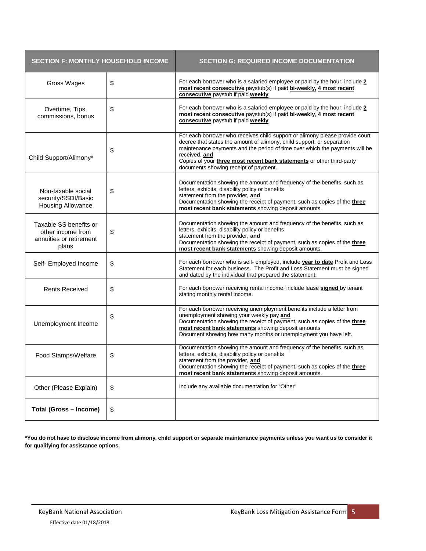| <b>SECTION F: MONTHLY HOUSEHOLD INCOME</b>                                      |    | <b>SECTION G: REQUIRED INCOME DOCUMENTATION</b>                                                                                                                                                                                                                                                                                                                          |
|---------------------------------------------------------------------------------|----|--------------------------------------------------------------------------------------------------------------------------------------------------------------------------------------------------------------------------------------------------------------------------------------------------------------------------------------------------------------------------|
| Gross Wages                                                                     | \$ | For each borrower who is a salaried employee or paid by the hour, include 2<br>most recent consecutive paystub(s) if paid bi-weekly, 4 most recent<br>consecutive paystub if paid weekly                                                                                                                                                                                 |
| Overtime, Tips,<br>commissions, bonus                                           | \$ | For each borrower who is a salaried employee or paid by the hour, include 2<br>most recent consecutive paystub(s) if paid bi-weekly, 4 most recent<br>consecutive paystub if paid weekly                                                                                                                                                                                 |
| Child Support/Alimony*                                                          | \$ | For each borrower who receives child support or alimony please provide court<br>decree that states the amount of alimony, child support, or separation<br>maintenance payments and the period of time over which the payments will be<br>received, and<br>Copies of your three most recent bank statements or other third-party<br>documents showing receipt of payment. |
| Non-taxable social<br>security/SSDI/Basic<br>Housing Allowance                  | \$ | Documentation showing the amount and frequency of the benefits, such as<br>letters, exhibits, disability policy or benefits<br>statement from the provider, and<br>Documentation showing the receipt of payment, such as copies of the three<br>most recent bank statements showing deposit amounts.                                                                     |
| Taxable SS benefits or<br>other income from<br>annuities or retirement<br>plans | \$ | Documentation showing the amount and frequency of the benefits, such as<br>letters, exhibits, disability policy or benefits<br>statement from the provider, and<br>Documentation showing the receipt of payment, such as copies of the three<br>most recent bank statements showing deposit amounts.                                                                     |
| Self- Employed Income                                                           | \$ | For each borrower who is self- employed, include <b>year to date</b> Profit and Loss<br>Statement for each business. The Profit and Loss Statement must be signed<br>and dated by the individual that prepared the statement.                                                                                                                                            |
| <b>Rents Received</b>                                                           | \$ | For each borrower receiving rental income, include lease signed by tenant<br>stating monthly rental income.                                                                                                                                                                                                                                                              |
| Unemployment Income                                                             | \$ | For each borrower receiving unemployment benefits include a letter from<br>unemployment showing your weekly pay and<br>Documentation showing the receipt of payment, such as copies of the three<br>most recent bank statements showing deposit amounts<br>Document showing how many months or unemployment you have left.                                               |
| Food Stamps/Welfare                                                             | \$ | Documentation showing the amount and frequency of the benefits, such as<br>letters, exhibits, disability policy or benefits<br>statement from the provider, and<br>Documentation showing the receipt of payment, such as copies of the three<br>most recent bank statements showing deposit amounts.                                                                     |
| Other (Please Explain)                                                          | \$ | Include any available documentation for "Other"                                                                                                                                                                                                                                                                                                                          |
| <b>Total (Gross - Income)</b>                                                   | \$ |                                                                                                                                                                                                                                                                                                                                                                          |

**\*You do not have to disclose income from alimony, child support or separate maintenance payments unless you want us to consider it for qualifying for assistance options.**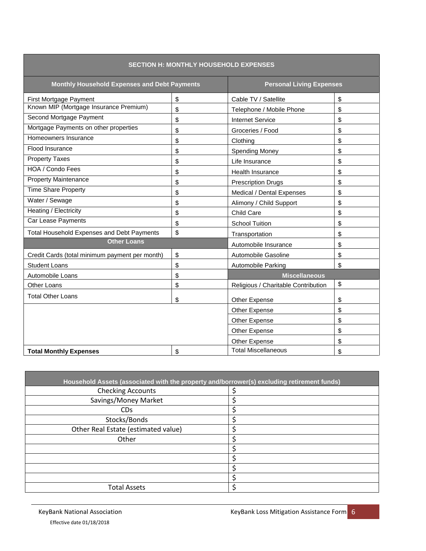| <b>SECTION H: MONTHLY HOUSEHOLD EXPENSES</b>      |    |                                     |    |
|---------------------------------------------------|----|-------------------------------------|----|
| Monthly Household Expenses and Debt Payments      |    | <b>Personal Living Expenses</b>     |    |
| First Mortgage Payment                            | \$ | Cable TV / Satellite                | \$ |
| Known MIP (Mortgage Insurance Premium)            | \$ | Telephone / Mobile Phone            | \$ |
| Second Mortgage Payment                           | \$ | <b>Internet Service</b>             | \$ |
| Mortgage Payments on other properties             | \$ | Groceries / Food                    | \$ |
| Homeowners Insurance                              | \$ | Clothing                            | \$ |
| Flood Insurance                                   | \$ | <b>Spending Money</b>               | \$ |
| <b>Property Taxes</b>                             | \$ | Life Insurance                      | \$ |
| <b>HOA / Condo Fees</b>                           | \$ | Health Insurance                    | \$ |
| <b>Property Maintenance</b>                       | \$ | <b>Prescription Drugs</b>           | \$ |
| <b>Time Share Property</b>                        | \$ | Medical / Dental Expenses           | \$ |
| Water / Sewage                                    | \$ | Alimony / Child Support             | \$ |
| Heating / Electricity                             | \$ | Child Care                          | \$ |
| Car Lease Payments                                | \$ | <b>School Tuition</b>               | \$ |
| <b>Total Household Expenses and Debt Payments</b> | \$ | Transportation                      | \$ |
| <b>Other Loans</b>                                |    | Automobile Insurance                | \$ |
| Credit Cards (total minimum payment per month)    | \$ | Automobile Gasoline                 | \$ |
| <b>Student Loans</b>                              | \$ | Automobile Parking                  | \$ |
| Automobile Loans                                  | \$ | <b>Miscellaneous</b>                |    |
| Other Loans                                       | \$ | Religious / Charitable Contribution | \$ |
| <b>Total Other Loans</b>                          | \$ | Other Expense                       | \$ |
|                                                   |    | Other Expense                       | \$ |
|                                                   |    | Other Expense                       | \$ |
|                                                   |    | Other Expense                       | \$ |
|                                                   |    | Other Expense                       | \$ |
| <b>Total Monthly Expenses</b>                     | \$ | <b>Total Miscellaneous</b>          | \$ |

| Household Assets (associated with the property and/borrower(s) excluding retirement funds) |  |
|--------------------------------------------------------------------------------------------|--|
| <b>Checking Accounts</b>                                                                   |  |
| Savings/Money Market                                                                       |  |
| <b>CD<sub>s</sub></b>                                                                      |  |
| Stocks/Bonds                                                                               |  |
| Other Real Estate (estimated value)                                                        |  |
| Other                                                                                      |  |
|                                                                                            |  |
|                                                                                            |  |
|                                                                                            |  |
|                                                                                            |  |
| <b>Total Assets</b>                                                                        |  |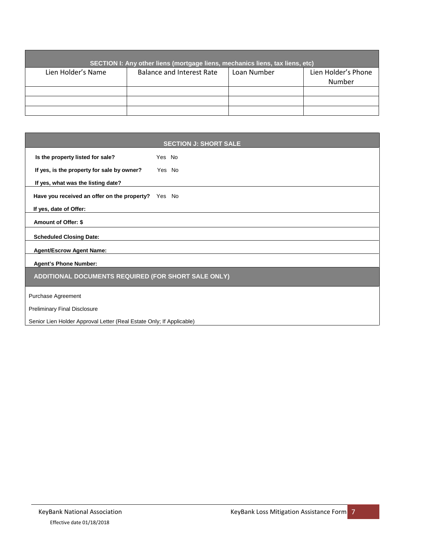| SECTION I: Any other liens (mortgage liens, mechanics liens, tax liens, etc) |                           |             |                     |  |
|------------------------------------------------------------------------------|---------------------------|-------------|---------------------|--|
| Lien Holder's Name                                                           | Balance and Interest Rate | Loan Number | Lien Holder's Phone |  |
|                                                                              |                           |             | Number              |  |
|                                                                              |                           |             |                     |  |
|                                                                              |                           |             |                     |  |
|                                                                              |                           |             |                     |  |

| <b>SECTION J: SHORT SALE</b>                                         |        |  |
|----------------------------------------------------------------------|--------|--|
| Is the property listed for sale?                                     | Yes No |  |
| If yes, is the property for sale by owner?                           | Yes No |  |
| If yes, what was the listing date?                                   |        |  |
| Have you received an offer on the property? Yes No                   |        |  |
| If yes, date of Offer:                                               |        |  |
| Amount of Offer: \$                                                  |        |  |
| <b>Scheduled Closing Date:</b>                                       |        |  |
| <b>Agent/Escrow Agent Name:</b>                                      |        |  |
| <b>Agent's Phone Number:</b>                                         |        |  |
| ADDITIONAL DOCUMENTS REQUIRED (FOR SHORT SALE ONLY)                  |        |  |
| Purchase Agreement                                                   |        |  |
| <b>Preliminary Final Disclosure</b>                                  |        |  |
| Senior Lien Holder Approval Letter (Real Estate Only; If Applicable) |        |  |

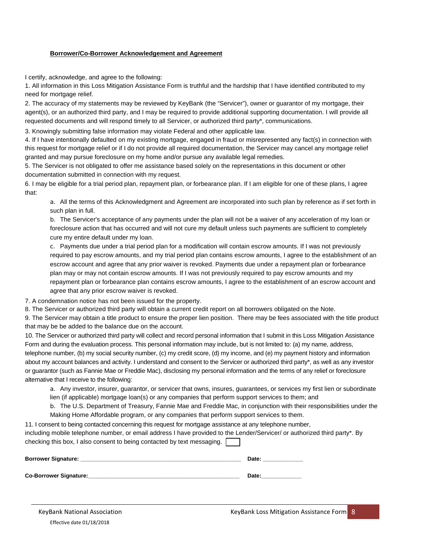#### **Borrower/Co-Borrower Acknowledgement and Agreement**

I certify, acknowledge, and agree to the following:

1. All information in this Loss Mitigation Assistance Form is truthful and the hardship that I have identified contributed to my need for mortgage relief.

2. The accuracy of my statements may be reviewed by KeyBank (the "Servicer"), owner or guarantor of my mortgage, their agent(s), or an authorized third party, and I may be required to provide additional supporting documentation. I will provide all requested documents and will respond timely to all Servicer, or authorized third party\*, communications.

3. Knowingly submitting false information may violate Federal and other applicable law.

4. If I have intentionally defaulted on my existing mortgage, engaged in fraud or misrepresented any fact(s) in connection with this request for mortgage relief or if I do not provide all required documentation, the Servicer may cancel any mortgage relief granted and may pursue foreclosure on my home and/or pursue any available legal remedies.

5. The Servicer is not obligated to offer me assistance based solely on the representations in this document or other documentation submitted in connection with my request.

6. I may be eligible for a trial period plan, repayment plan, or forbearance plan. If I am eligible for one of these plans, I agree that:

a. All the terms of this Acknowledgment and Agreement are incorporated into such plan by reference as if set forth in such plan in full.

b. The Servicer's acceptance of any payments under the plan will not be a waiver of any acceleration of my loan or foreclosure action that has occurred and will not cure my default unless such payments are sufficient to completely cure my entire default under my loan.

c. Payments due under a trial period plan for a modification will contain escrow amounts. If I was not previously required to pay escrow amounts, and my trial period plan contains escrow amounts, I agree to the establishment of an escrow account and agree that any prior waiver is revoked. Payments due under a repayment plan or forbearance plan may or may not contain escrow amounts. If I was not previously required to pay escrow amounts and my repayment plan or forbearance plan contains escrow amounts, I agree to the establishment of an escrow account and agree that any prior escrow waiver is revoked.

7. A condemnation notice has not been issued for the property.

8. The Servicer or authorized third party will obtain a current credit report on all borrowers obligated on the Note.

9. The Servicer may obtain a title product to ensure the proper lien position. There may be fees associated with the title product that may be be added to the balance due on the account.

10. The Servicer or authorized third party will collect and record personal information that I submit in this Loss Mitigation Assistance Form and during the evaluation process. This personal information may include, but is not limited to: (a) my name, address, telephone number, (b) my social security number, (c) my credit score, (d) my income, and (e) my payment history and information about my account balances and activity. I understand and consent to the Servicer or authorized third party\*, as well as any investor or guarantor (such as Fannie Mae or Freddie Mac), disclosing my personal information and the terms of any relief or foreclosure alternative that I receive to the following:

a. Any investor, insurer, guarantor, or servicer that owns, insures, guarantees, or services my first lien or subordinate lien (if applicable) mortgage loan(s) or any companies that perform support services to them; and

b. The U.S. Department of Treasury, Fannie Mae and Freddie Mac, in conjunction with their responsibilities under the Making Home Affordable program, or any companies that perform support services to them.

11. I consent to being contacted concerning this request for mortgage assistance at any telephone number, including mobile telephone number, or email address I have provided to the Lender/Servicer/ or authorized third party\*. By checking this box, I also consent to being contacted by text messaging.

| <b>Borrower Signature:</b> | Date: |
|----------------------------|-------|
|                            |       |
| Co-Borrower Signature:     | Date: |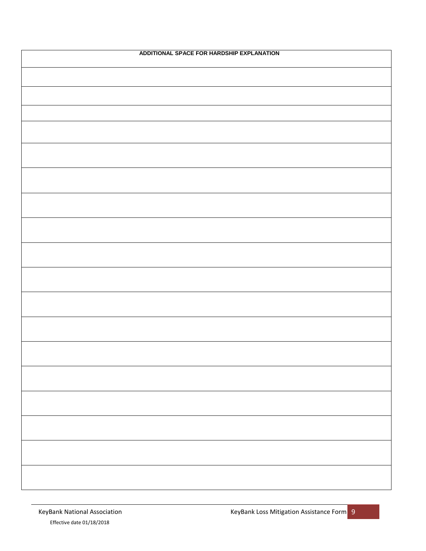| ADDITIONAL SPACE FOR HARDSHIP EXPLANATION |  |  |  |
|-------------------------------------------|--|--|--|
|                                           |  |  |  |
|                                           |  |  |  |
|                                           |  |  |  |
|                                           |  |  |  |
|                                           |  |  |  |
|                                           |  |  |  |
|                                           |  |  |  |
|                                           |  |  |  |
|                                           |  |  |  |
|                                           |  |  |  |
|                                           |  |  |  |
|                                           |  |  |  |
|                                           |  |  |  |
|                                           |  |  |  |
|                                           |  |  |  |
|                                           |  |  |  |
|                                           |  |  |  |
|                                           |  |  |  |
|                                           |  |  |  |
|                                           |  |  |  |
|                                           |  |  |  |
|                                           |  |  |  |
|                                           |  |  |  |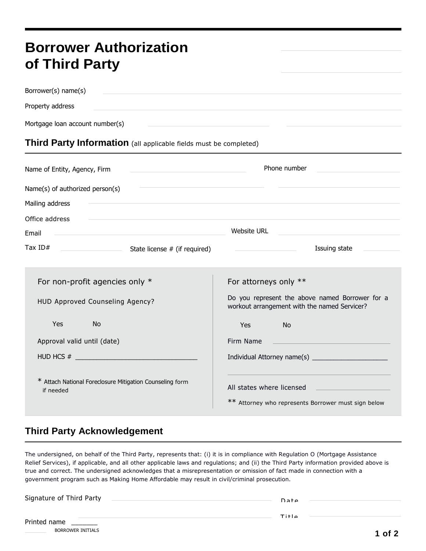# **Borrower Authorization of Third Party**

Borrower(s) name(s) Property address Mortgage loan account number(s)

## **Third Party Information** (all applicable fields must be completed)

| Name of Entity, Agency, Firm                                              | Phone number<br><u> 1989 - Johann Barbara, martxa eta politikar</u>                                                   |                                                    |                                                                                                 |
|---------------------------------------------------------------------------|-----------------------------------------------------------------------------------------------------------------------|----------------------------------------------------|-------------------------------------------------------------------------------------------------|
| Name(s) of authorized person(s)                                           | <u> 1989 - Johann Stoff, deutscher Stoff, der Stoff, der Stoff, der Stoff, der Stoff, der Stoff, der Stoff, der S</u> |                                                    |                                                                                                 |
| Mailing address                                                           |                                                                                                                       |                                                    |                                                                                                 |
| Office address                                                            |                                                                                                                       |                                                    |                                                                                                 |
| Email<br><u> 1980 - Andrea Stadt Britain, amerikansk politik (* 1908)</u> |                                                                                                                       | Website URL                                        |                                                                                                 |
|                                                                           |                                                                                                                       | <u> 1990 - John Stein, Amerikaansk politiker (</u> | Issuing state                                                                                   |
|                                                                           |                                                                                                                       |                                                    |                                                                                                 |
| For non-profit agencies only $*$                                          |                                                                                                                       | For attorneys only **                              |                                                                                                 |
| HUD Approved Counseling Agency?                                           |                                                                                                                       |                                                    | Do you represent the above named Borrower for a<br>workout arrangement with the named Servicer? |
| Yes.<br><b>No</b>                                                         |                                                                                                                       | Yes                                                | <b>No</b>                                                                                       |
| Approval valid until (date)                                               |                                                                                                                       | Firm Name                                          |                                                                                                 |
|                                                                           |                                                                                                                       |                                                    |                                                                                                 |
| * Attach National Foreclosure Mitigation Counseling form<br>if needed     |                                                                                                                       | All states where licensed                          | ** Attorney who represents Borrower must sign below                                             |

## **Third Party Acknowledgement**

The undersigned, on behalf of the Third Party, represents that: (i) it is in compliance with Regulation O (Mortgage Assistance Relief Services), if applicable, and all other applicable laws and regulations; and (ii) the Third Party information provided above is true and correct. The undersigned acknowledges that a misrepresentation or omission of fact made in connection with a government program such as Making Home Affordable may result in civil/criminal prosecution.

| Signature of Third Party |  |
|--------------------------|--|
|                          |  |

T i t l e

| Printed name |  |
|--------------|--|
|--------------|--|